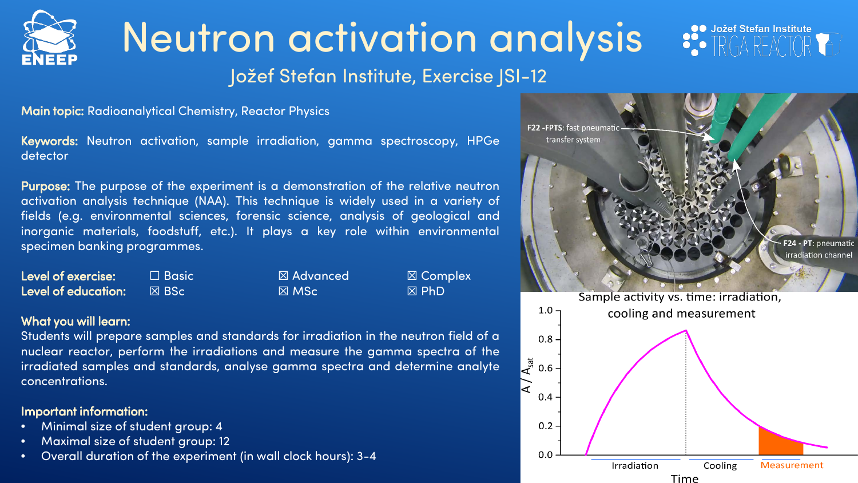

## Neutron activation analysis Jožef Stefan Institute, Exercise JSI-12

Main topic: Radioanalytical Chemistry, Reactor Physics

Keywords: Neutron activation, sample irradiation, gamma spectroscopy, HPGe detector

Purpose: The purpose of the experiment is a demonstration of the relative neutron activation analysis technique (NAA). This technique is widely used in a variety of fields (e.g. environmental sciences, forensic science, analysis of geological and inorganic materials, foodstuff, etc.). It plays a key role within environmental specimen banking programmes.

| Level of exercise:         | $\square$ Basic $\square$ | $\boxtimes$ Advanced | $\boxtimes$ Com |
|----------------------------|---------------------------|----------------------|-----------------|
| <b>Level of education:</b> | I⊠ BSc'                   | $\boxtimes$ MSc      | $\boxtimes$ PhD |

 $\n **Q Advanced Q Complex Q Complex Q Q Q Q Q Q Q Q Q Q Q Q Q Q Q Q Q Q Q Q Q Q Q Q Q** <$ 

#### What you will learn:

Students will prepare samples and standards for irradiation in the neutron field of a nuclear reactor, perform the irradiations and measure the gamma spectra of the irradiated samples and standards, analyse gamma spectra and determine analyte concentrations.

## Important information:

- Minimal size of student group: 4
- Maximal size of student group: 12
- Overall duration of the experiment (in wall clock hours): 3-4



**OO** Jožef Stefan Institute